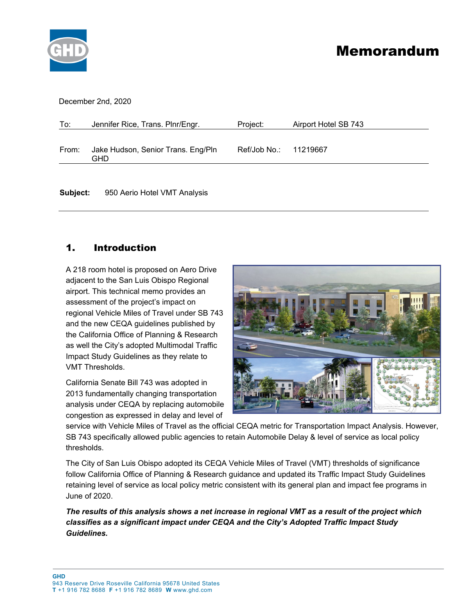

# Memorandum

December 2nd, 2020

| To:   | Jennifer Rice, Trans. Plnr/Engr.          | Project:              | Airport Hotel SB 743 |
|-------|-------------------------------------------|-----------------------|----------------------|
| From: | Jake Hudson, Senior Trans. Eng/Pln<br>GHD | Ref/Job No.: 11219667 |                      |
|       |                                           |                       |                      |

**Subject:** 950 Aerio Hotel VMT Analysis

### 1. Introduction

A 218 room hotel is proposed on Aero Drive adjacent to the San Luis Obispo Regional airport. This technical memo provides an assessment of the project's impact on regional Vehicle Miles of Travel under SB 743 and the new CEQA guidelines published by the California Office of Planning & Research as well the City's adopted Multimodal Traffic Impact Study Guidelines as they relate to VMT Thresholds.

California Senate Bill 743 was adopted in 2013 fundamentally changing transportation analysis under CEQA by replacing automobile congestion as expressed in delay and level of



service with Vehicle Miles of Travel as the official CEQA metric for Transportation Impact Analysis. However, SB 743 specifically allowed public agencies to retain Automobile Delay & level of service as local policy thresholds.

The City of San Luis Obispo adopted its CEQA Vehicle Miles of Travel (VMT) thresholds of significance follow California Office of Planning & Research guidance and updated its Traffic Impact Study Guidelines retaining level of service as local policy metric consistent with its general plan and impact fee programs in June of 2020.

*The results of this analysis shows a net increase in regional VMT as a result of the project which classifies as a significant impact under CEQA and the City's Adopted Traffic Impact Study Guidelines.*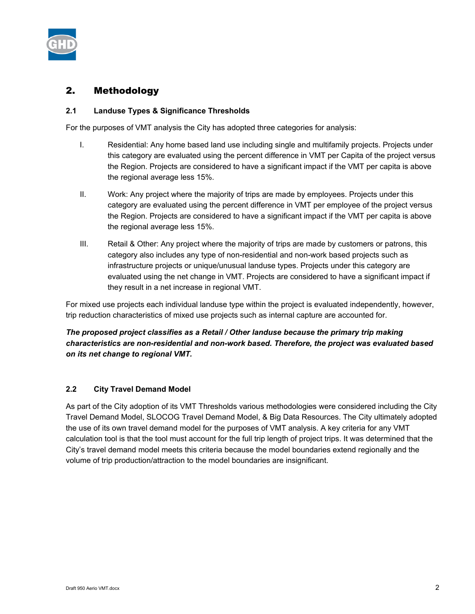

# 2. Methodology

#### **2.1 Landuse Types & Significance Thresholds**

For the purposes of VMT analysis the City has adopted three categories for analysis:

- I. Residential: Any home based land use including single and multifamily projects. Projects under this category are evaluated using the percent difference in VMT per Capita of the project versus the Region. Projects are considered to have a significant impact if the VMT per capita is above the regional average less 15%.
- II. Work: Any project where the majority of trips are made by employees. Projects under this category are evaluated using the percent difference in VMT per employee of the project versus the Region. Projects are considered to have a significant impact if the VMT per capita is above the regional average less 15%.
- III. Retail & Other: Any project where the majority of trips are made by customers or patrons, this category also includes any type of non-residential and non-work based projects such as infrastructure projects or unique/unusual landuse types. Projects under this category are evaluated using the net change in VMT. Projects are considered to have a significant impact if they result in a net increase in regional VMT.

For mixed use projects each individual landuse type within the project is evaluated independently, however, trip reduction characteristics of mixed use projects such as internal capture are accounted for.

### *The proposed project classifies as a Retail / Other landuse because the primary trip making characteristics are non-residential and non-work based. Therefore, the project was evaluated based on its net change to regional VMT.*

#### **2.2 City Travel Demand Model**

As part of the City adoption of its VMT Thresholds various methodologies were considered including the City Travel Demand Model, SLOCOG Travel Demand Model, & Big Data Resources. The City ultimately adopted the use of its own travel demand model for the purposes of VMT analysis. A key criteria for any VMT calculation tool is that the tool must account for the full trip length of project trips. It was determined that the City's travel demand model meets this criteria because the model boundaries extend regionally and the volume of trip production/attraction to the model boundaries are insignificant.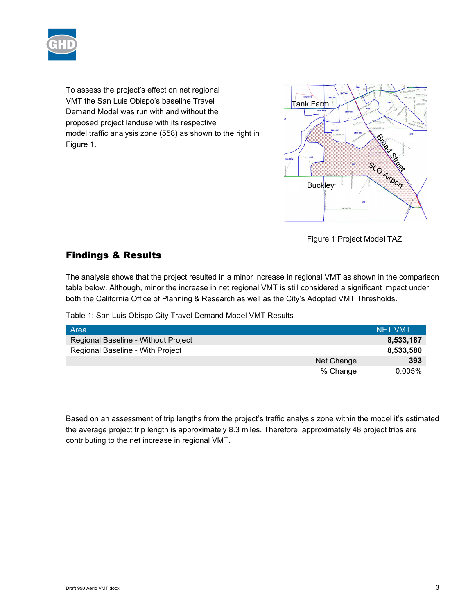

To assess the project's effect on net regional VMT the San Luis Obispo's baseline Travel Demand Model was run with and without the proposed project landuse with its respective model traffic analysis zone (558) as shown to the right in Figure 1.



Figure 1 Project Model TAZ

# Findings & Results

The analysis shows that the project resulted in a minor increase in regional VMT as shown in the comparison table below. Although, minor the increase in net regional VMT is still considered a significant impact under both the California Office of Planning & Research as well as the City's Adopted VMT Thresholds.

Table 1: San Luis Obispo City Travel Demand Model VMT Results

| Area                                | <b>NET VMT</b> |
|-------------------------------------|----------------|
| Regional Baseline - Without Project | 8,533,187      |
| Regional Baseline - With Project    | 8,533,580      |
| Net Change                          | 393            |
| % Change                            | 0.005%         |

Based on an assessment of trip lengths from the project's traffic analysis zone within the model it's estimated the average project trip length is approximately 8.3 miles. Therefore, approximately 48 project trips are contributing to the net increase in regional VMT.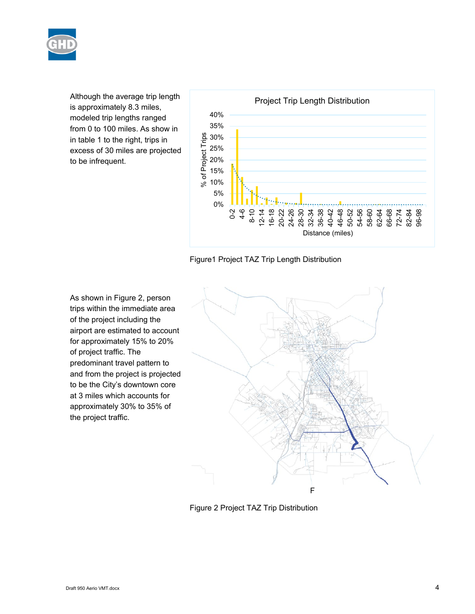

Although the average trip length is approximately 8.3 miles, modeled trip lengths ranged from 0 to 100 miles. As show in in table 1 to the right, trips in excess of 30 miles are projected to be infrequent.



Figure1 Project TAZ Trip Length Distribution

As shown in Figure 2, person trips within the immediate area of the project including the airport are estimated to account for approximately 15% to 20% of project traffic. The predominant travel pattern to and from the project is projected to be the City's downtown core at 3 miles which accounts for approximately 30% to 35% of the project traffic.



Figure 2 Project TAZ Trip Distribution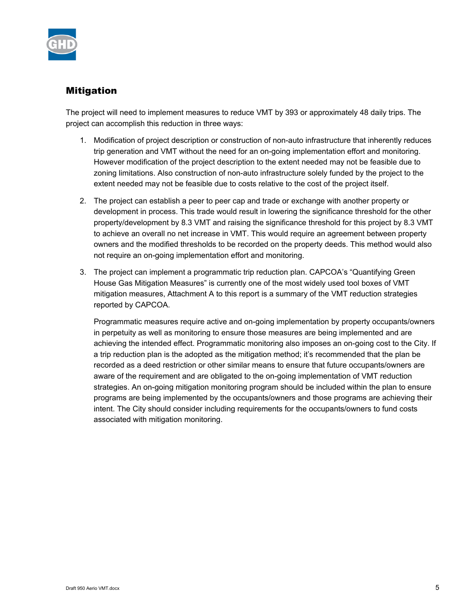

# Mitigation

The project will need to implement measures to reduce VMT by 393 or approximately 48 daily trips. The project can accomplish this reduction in three ways:

- 1. Modification of project description or construction of non-auto infrastructure that inherently reduces trip generation and VMT without the need for an on-going implementation effort and monitoring. However modification of the project description to the extent needed may not be feasible due to zoning limitations. Also construction of non-auto infrastructure solely funded by the project to the extent needed may not be feasible due to costs relative to the cost of the project itself.
- 2. The project can establish a peer to peer cap and trade or exchange with another property or development in process. This trade would result in lowering the significance threshold for the other property/development by 8.3 VMT and raising the significance threshold for this project by 8.3 VMT to achieve an overall no net increase in VMT. This would require an agreement between property owners and the modified thresholds to be recorded on the property deeds. This method would also not require an on-going implementation effort and monitoring.
- 3. The project can implement a programmatic trip reduction plan. CAPCOA's "Quantifying Green House Gas Mitigation Measures" is currently one of the most widely used tool boxes of VMT mitigation measures, Attachment A to this report is a summary of the VMT reduction strategies reported by CAPCOA.

Programmatic measures require active and on-going implementation by property occupants/owners in perpetuity as well as monitoring to ensure those measures are being implemented and are achieving the intended effect. Programmatic monitoring also imposes an on-going cost to the City. If a trip reduction plan is the adopted as the mitigation method; it's recommended that the plan be recorded as a deed restriction or other similar means to ensure that future occupants/owners are aware of the requirement and are obligated to the on-going implementation of VMT reduction strategies. An on-going mitigation monitoring program should be included within the plan to ensure programs are being implemented by the occupants/owners and those programs are achieving their intent. The City should consider including requirements for the occupants/owners to fund costs associated with mitigation monitoring.